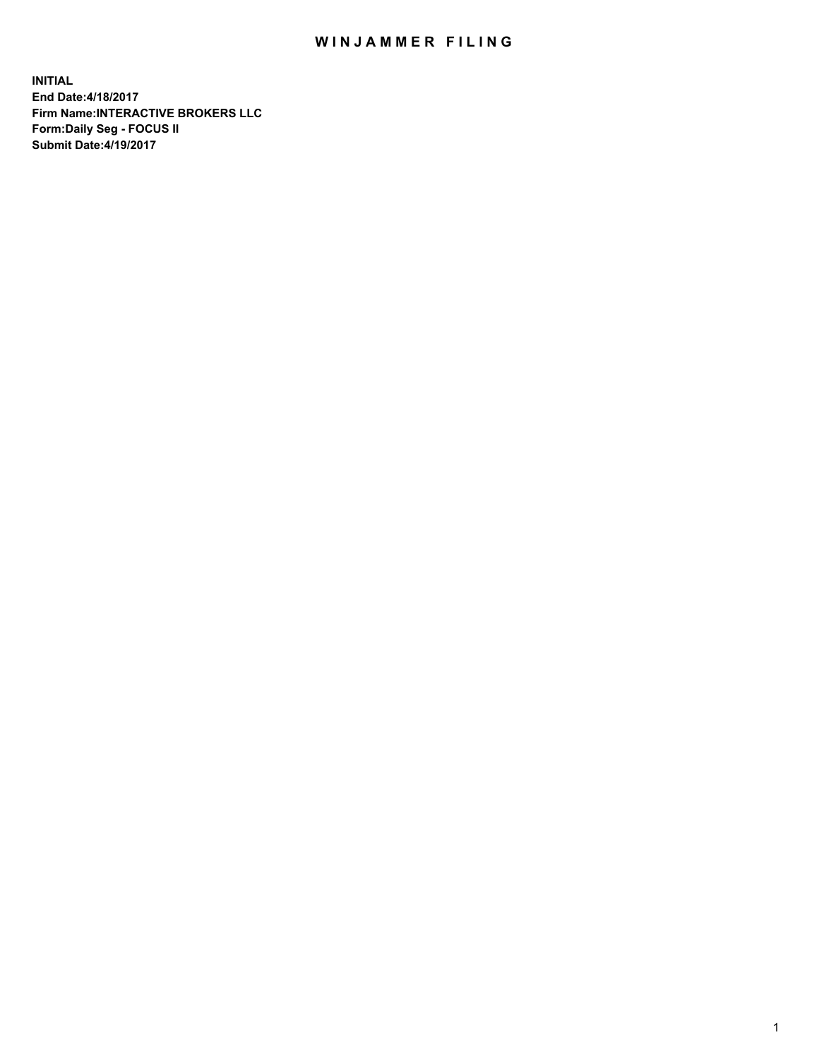## WIN JAMMER FILING

**INITIAL End Date:4/18/2017 Firm Name:INTERACTIVE BROKERS LLC Form:Daily Seg - FOCUS II Submit Date:4/19/2017**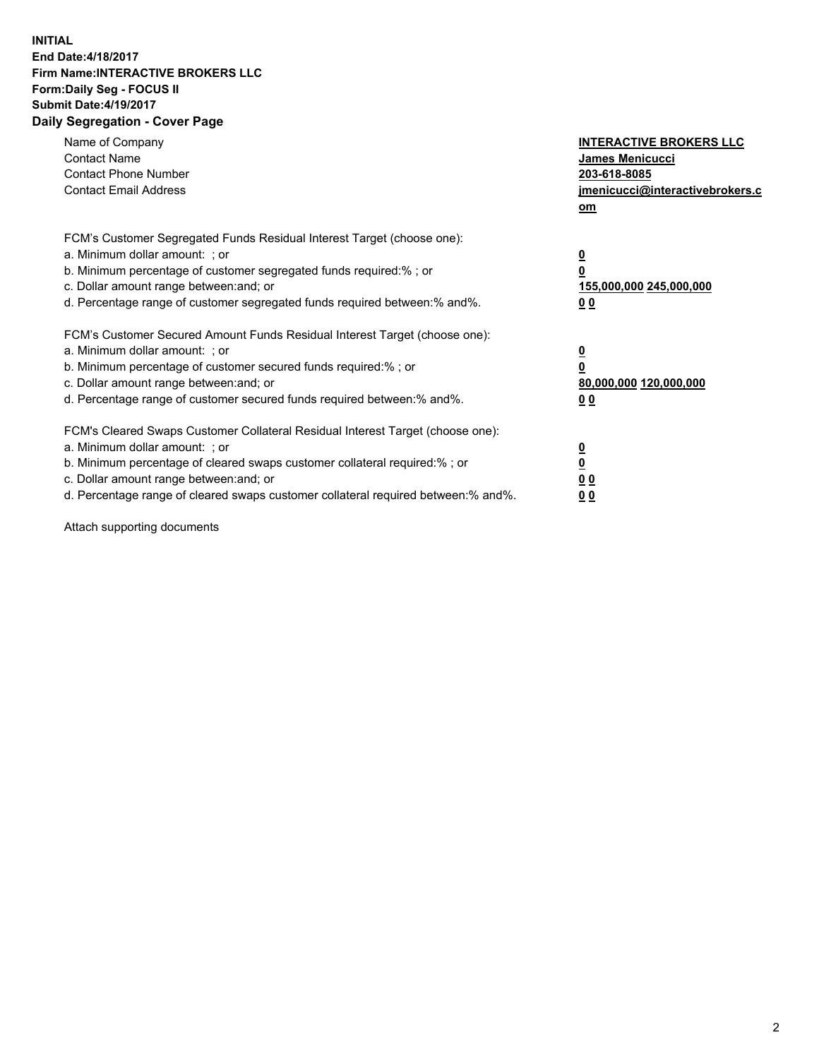## **INITIAL End Date:4/18/2017 Firm Name:INTERACTIVE BROKERS LLC Form:Daily Seg - FOCUS II Submit Date:4/19/2017 Daily Segregation - Cover Page**

| Name of Company<br><b>Contact Name</b><br><b>Contact Phone Number</b><br><b>Contact Email Address</b>                                                                                                                                                                                                                          | <b>INTERACTIVE BROKERS LLC</b><br><b>James Menicucci</b><br>203-618-8085<br>jmenicucci@interactivebrokers.c<br>om |
|--------------------------------------------------------------------------------------------------------------------------------------------------------------------------------------------------------------------------------------------------------------------------------------------------------------------------------|-------------------------------------------------------------------------------------------------------------------|
| FCM's Customer Segregated Funds Residual Interest Target (choose one):<br>a. Minimum dollar amount: ; or<br>b. Minimum percentage of customer segregated funds required:%; or<br>c. Dollar amount range between: and; or<br>d. Percentage range of customer segregated funds required between:% and%.                          | $\overline{\mathbf{0}}$<br>0<br>155,000,000 245,000,000<br>0 <sub>0</sub>                                         |
| FCM's Customer Secured Amount Funds Residual Interest Target (choose one):<br>a. Minimum dollar amount: ; or<br>b. Minimum percentage of customer secured funds required:%; or<br>c. Dollar amount range between: and; or<br>d. Percentage range of customer secured funds required between: % and %.                          | $\overline{\mathbf{0}}$<br>0<br>80,000,000 120,000,000<br>0 <sub>0</sub>                                          |
| FCM's Cleared Swaps Customer Collateral Residual Interest Target (choose one):<br>a. Minimum dollar amount: ; or<br>b. Minimum percentage of cleared swaps customer collateral required:% ; or<br>c. Dollar amount range between: and; or<br>d. Percentage range of cleared swaps customer collateral required between:% and%. | $\overline{\mathbf{0}}$<br>$\overline{\mathbf{0}}$<br>0 <sub>0</sub><br><u>00</u>                                 |

Attach supporting documents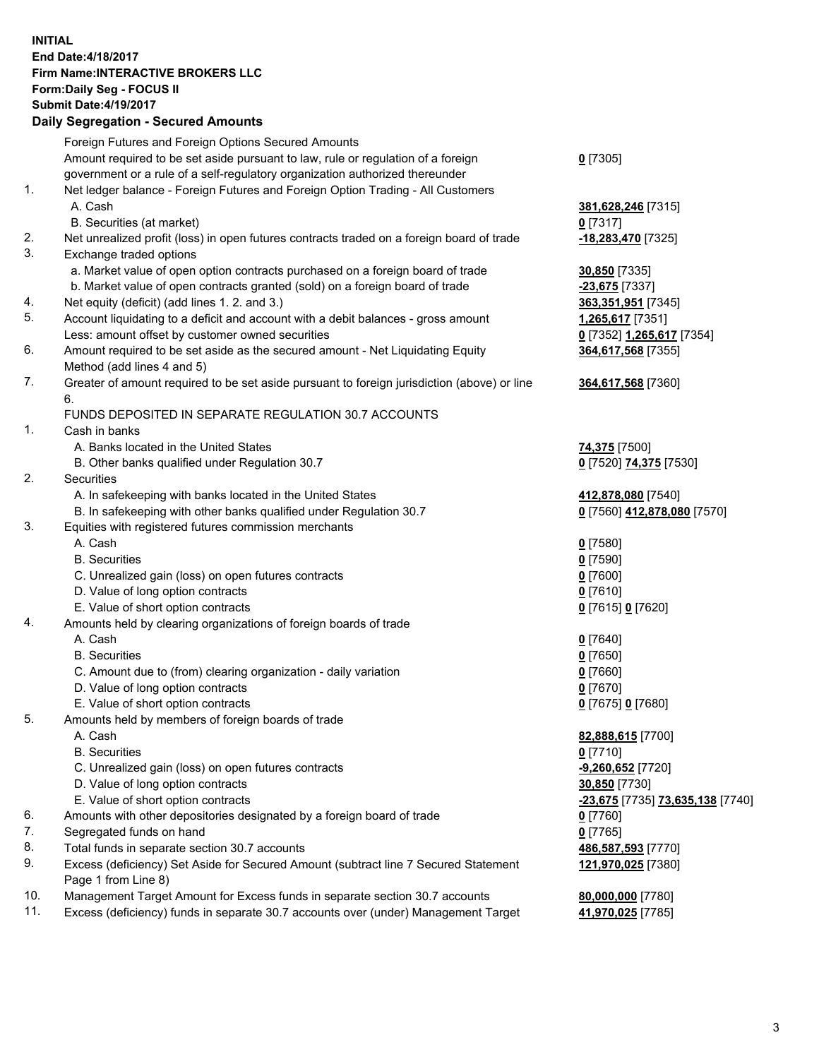## **INITIAL End Date:4/18/2017 Firm Name:INTERACTIVE BROKERS LLC Form:Daily Seg - FOCUS II Submit Date:4/19/2017 Daily Segregation - Secured Amounts**

|     | Foreign Futures and Foreign Options Secured Amounts                                         |                                  |
|-----|---------------------------------------------------------------------------------------------|----------------------------------|
|     | Amount required to be set aside pursuant to law, rule or regulation of a foreign            | $0$ [7305]                       |
|     | government or a rule of a self-regulatory organization authorized thereunder                |                                  |
| 1.  | Net ledger balance - Foreign Futures and Foreign Option Trading - All Customers             |                                  |
|     | A. Cash                                                                                     | 381,628,246 [7315]               |
|     | B. Securities (at market)                                                                   | $0$ [7317]                       |
| 2.  | Net unrealized profit (loss) in open futures contracts traded on a foreign board of trade   | -18,283,470 [7325]               |
| 3.  | Exchange traded options                                                                     |                                  |
|     | a. Market value of open option contracts purchased on a foreign board of trade              | 30,850 [7335]                    |
|     | b. Market value of open contracts granted (sold) on a foreign board of trade                | -23,675 [7337]                   |
| 4.  | Net equity (deficit) (add lines 1.2. and 3.)                                                | 363,351,951 [7345]               |
| 5.  | Account liquidating to a deficit and account with a debit balances - gross amount           | 1,265,617 [7351]                 |
|     | Less: amount offset by customer owned securities                                            | 0 [7352] 1,265,617 [7354]        |
| 6.  | Amount required to be set aside as the secured amount - Net Liquidating Equity              | 364,617,568 [7355]               |
|     | Method (add lines 4 and 5)                                                                  |                                  |
| 7.  | Greater of amount required to be set aside pursuant to foreign jurisdiction (above) or line | 364,617,568 [7360]               |
|     | 6.                                                                                          |                                  |
|     | FUNDS DEPOSITED IN SEPARATE REGULATION 30.7 ACCOUNTS                                        |                                  |
| 1.  | Cash in banks                                                                               |                                  |
|     | A. Banks located in the United States                                                       | <b>74,375</b> [7500]             |
|     | B. Other banks qualified under Regulation 30.7                                              | 0 [7520] 74,375 [7530]           |
| 2.  | Securities                                                                                  |                                  |
|     | A. In safekeeping with banks located in the United States                                   | 412,878,080 [7540]               |
|     | B. In safekeeping with other banks qualified under Regulation 30.7                          | 0 [7560] 412,878,080 [7570]      |
| 3.  | Equities with registered futures commission merchants                                       |                                  |
|     | A. Cash                                                                                     | $0$ [7580]                       |
|     | <b>B.</b> Securities                                                                        | $0$ [7590]                       |
|     | C. Unrealized gain (loss) on open futures contracts                                         | $0$ [7600]                       |
|     | D. Value of long option contracts                                                           | $0$ [7610]                       |
|     | E. Value of short option contracts                                                          | 0 [7615] 0 [7620]                |
| 4.  | Amounts held by clearing organizations of foreign boards of trade                           |                                  |
|     | A. Cash                                                                                     | $0$ [7640]                       |
|     | <b>B.</b> Securities                                                                        | $0$ [7650]                       |
|     | C. Amount due to (from) clearing organization - daily variation                             | $0$ [7660]                       |
|     | D. Value of long option contracts                                                           | $0$ [7670]                       |
|     | E. Value of short option contracts                                                          | 0 [7675] 0 [7680]                |
| 5.  | Amounts held by members of foreign boards of trade                                          |                                  |
|     | A. Cash                                                                                     | 82,888,615 [7700]                |
|     | <b>B.</b> Securities                                                                        | $0$ [7710]                       |
|     | C. Unrealized gain (loss) on open futures contracts                                         | $-9,260,652$ [7720]              |
|     | D. Value of long option contracts                                                           | 30,850 [7730]                    |
|     | E. Value of short option contracts                                                          | -23,675 [7735] 73,635,138 [7740] |
| 6.  | Amounts with other depositories designated by a foreign board of trade                      | 0 [7760]                         |
| 7.  | Segregated funds on hand                                                                    | $0$ [7765]                       |
| 8.  | Total funds in separate section 30.7 accounts                                               | 486,587,593 [7770]               |
| 9.  | Excess (deficiency) Set Aside for Secured Amount (subtract line 7 Secured Statement         | 121,970,025 [7380]               |
|     | Page 1 from Line 8)                                                                         |                                  |
| 10. | Management Target Amount for Excess funds in separate section 30.7 accounts                 | 80,000,000 [7780]                |
| 11. | Excess (deficiency) funds in separate 30.7 accounts over (under) Management Target          | 41,970,025 [7785]                |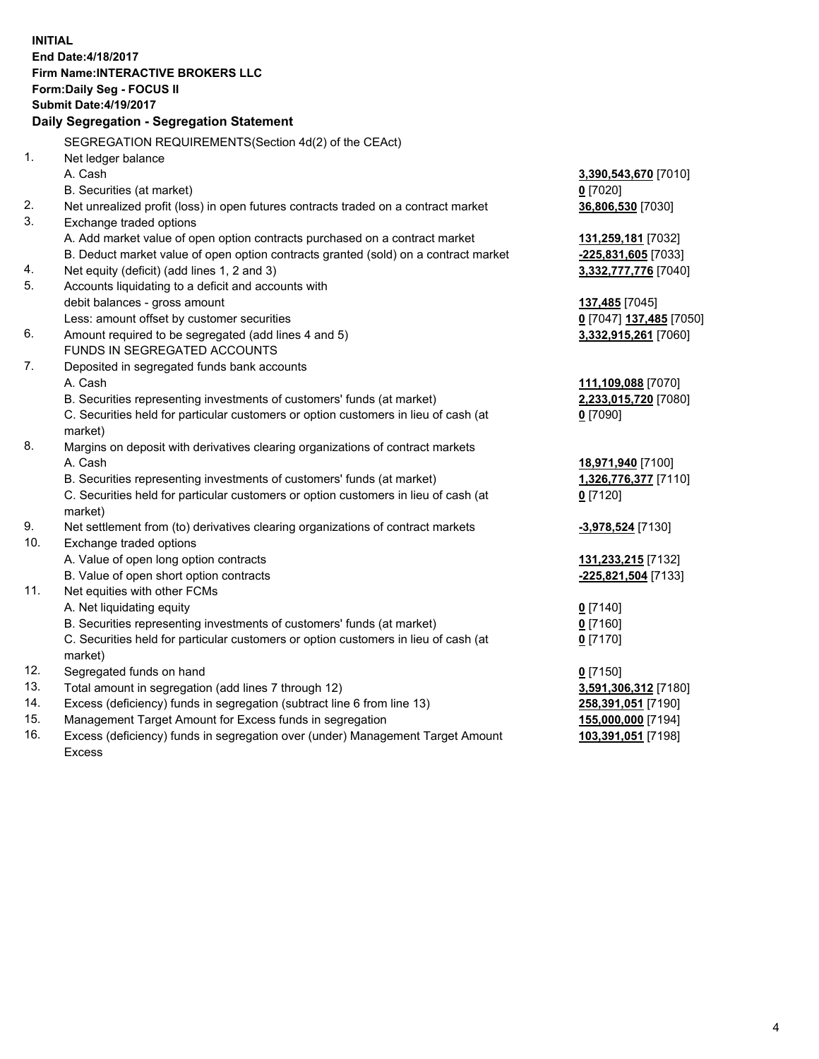**INITIAL End Date:4/18/2017 Firm Name:INTERACTIVE BROKERS LLC Form:Daily Seg - FOCUS II Submit Date:4/19/2017 Daily Segregation - Segregation Statement** SEGREGATION REQUIREMENTS(Section 4d(2) of the CEAct) 1. Net ledger balance A. Cash **3,390,543,670** [7010] B. Securities (at market) **0** [7020] 2. Net unrealized profit (loss) in open futures contracts traded on a contract market **36,806,530** [7030] 3. Exchange traded options A. Add market value of open option contracts purchased on a contract market **131,259,181** [7032] B. Deduct market value of open option contracts granted (sold) on a contract market **-225,831,605** [7033] 4. Net equity (deficit) (add lines 1, 2 and 3) **3,332,777,776** [7040] 5. Accounts liquidating to a deficit and accounts with debit balances - gross amount **137,485** [7045] Less: amount offset by customer securities **0** [7047] **137,485** [7050] 6. Amount required to be segregated (add lines 4 and 5) **3,332,915,261** [7060] FUNDS IN SEGREGATED ACCOUNTS 7. Deposited in segregated funds bank accounts A. Cash **111,109,088** [7070] B. Securities representing investments of customers' funds (at market) **2,233,015,720** [7080] C. Securities held for particular customers or option customers in lieu of cash (at market) **0** [7090] 8. Margins on deposit with derivatives clearing organizations of contract markets A. Cash **18,971,940** [7100] B. Securities representing investments of customers' funds (at market) **1,326,776,377** [7110] C. Securities held for particular customers or option customers in lieu of cash (at market) **0** [7120] 9. Net settlement from (to) derivatives clearing organizations of contract markets **-3,978,524** [7130] 10. Exchange traded options A. Value of open long option contracts **131,233,215** [7132] B. Value of open short option contracts **-225,821,504** [7133] 11. Net equities with other FCMs A. Net liquidating equity **0** [7140] B. Securities representing investments of customers' funds (at market) **0** [7160] C. Securities held for particular customers or option customers in lieu of cash (at market) **0** [7170] 12. Segregated funds on hand **0** [7150] 13. Total amount in segregation (add lines 7 through 12) **3,591,306,312** [7180] 14. Excess (deficiency) funds in segregation (subtract line 6 from line 13) **258,391,051** [7190] 15. Management Target Amount for Excess funds in segregation **155,000,000** [7194] **103,391,051** [7198]

16. Excess (deficiency) funds in segregation over (under) Management Target Amount Excess